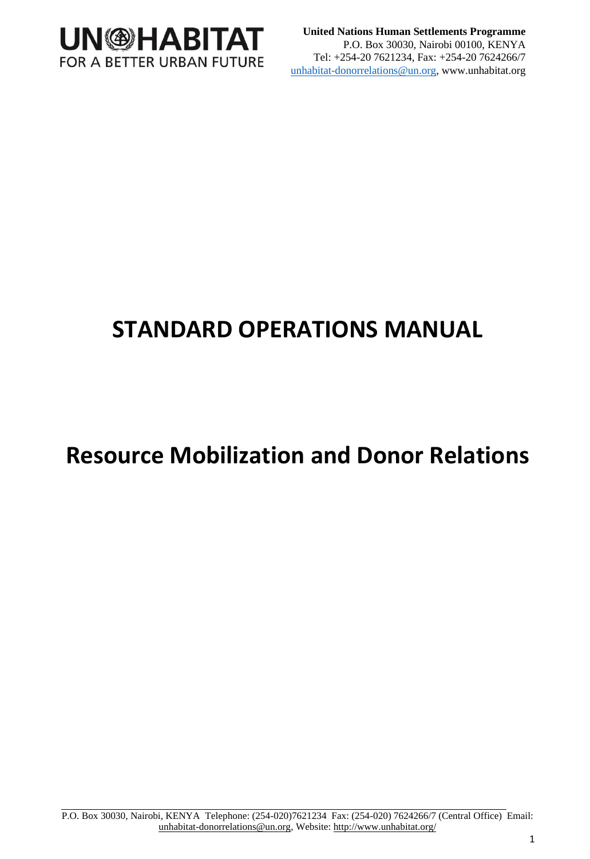

**United Nations Human Settlements Programme** P.O. Box 30030, Nairobi 00100, KENYA Tel: +254-20 7621234, Fax: +254-20 7624266/7 unhabitat-donorrelations@un.org, www.unhabitat.org

# **STANDARD OPERATIONS MANUAL**

# **Resource Mobilization and Donor Relations**

P.O. Box 30030, Nairobi, KENYA Telephone: (254-020)7621234 Fax: (254-020) 7624266/7 (Central Office) Email: unhabitat-donorrelations@un.org, Website[: http://www.unhabitat.org/](http://www.unhabitat.org/)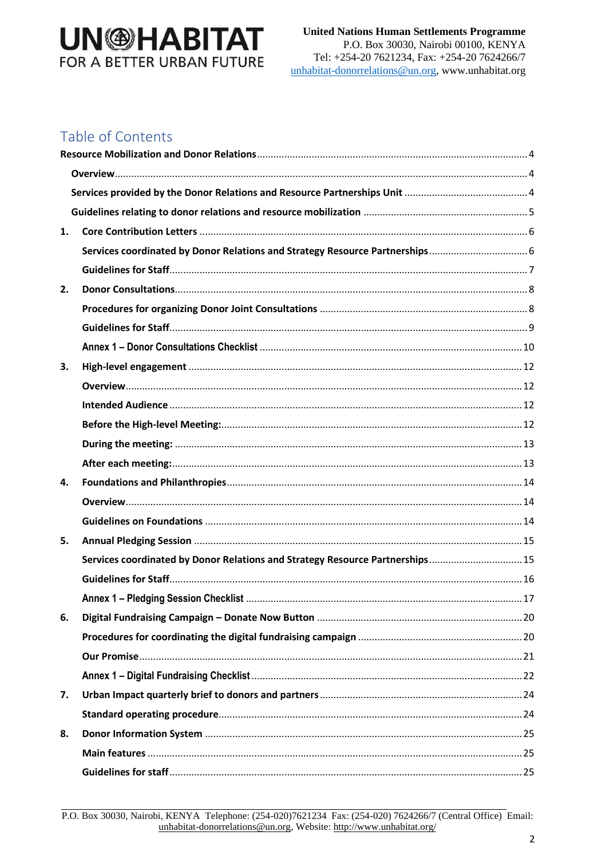## Table of Contents

| 1. |                                                                               |  |
|----|-------------------------------------------------------------------------------|--|
|    |                                                                               |  |
|    |                                                                               |  |
| 2. |                                                                               |  |
|    |                                                                               |  |
|    |                                                                               |  |
|    |                                                                               |  |
| 3. |                                                                               |  |
|    |                                                                               |  |
|    |                                                                               |  |
|    |                                                                               |  |
|    |                                                                               |  |
|    |                                                                               |  |
| 4. |                                                                               |  |
|    |                                                                               |  |
|    |                                                                               |  |
| 5. |                                                                               |  |
|    | Services coordinated by Donor Relations and Strategy Resource Partnerships 15 |  |
|    |                                                                               |  |
|    |                                                                               |  |
| 6. |                                                                               |  |
|    |                                                                               |  |
|    |                                                                               |  |
|    |                                                                               |  |
| 7. |                                                                               |  |
|    |                                                                               |  |
| 8. |                                                                               |  |
|    |                                                                               |  |
|    |                                                                               |  |

P.O. Box 30030, Nairobi, KENYA Telephone: (254-020)7621234 Fax: (254-020) 7624266/7 (Central Office) Email: unhabitat-donorrelations@un.org, Website: http://www.unhabitat.org/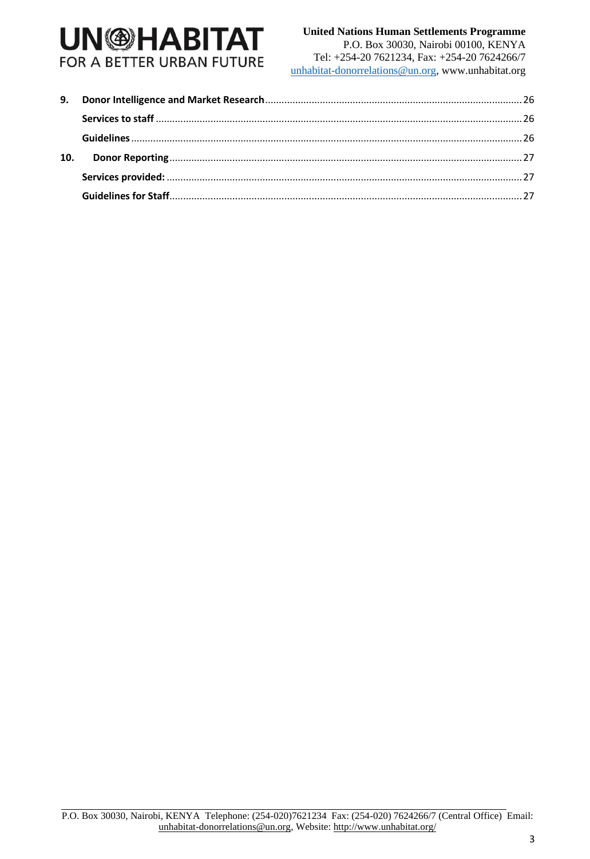#### **United Nations Human Settlements Programme**

P.O. Box 30030, Nairobi 00100, KENYA Tel: +254-20 7621234, Fax: +254-20 7624266/7 unhabitat-donorrelations@un.org, www.unhabitat.org

| 10. |  |
|-----|--|
|     |  |
|     |  |

P.O. Box 30030, Nairobi, KENYA Telephone: (254-020)7621234 Fax: (254-020) 7624266/7 (Central Office) Email: unhabitat-donorrelations@un.org, Website[: http://www.unhabitat.org/](http://www.unhabitat.org/)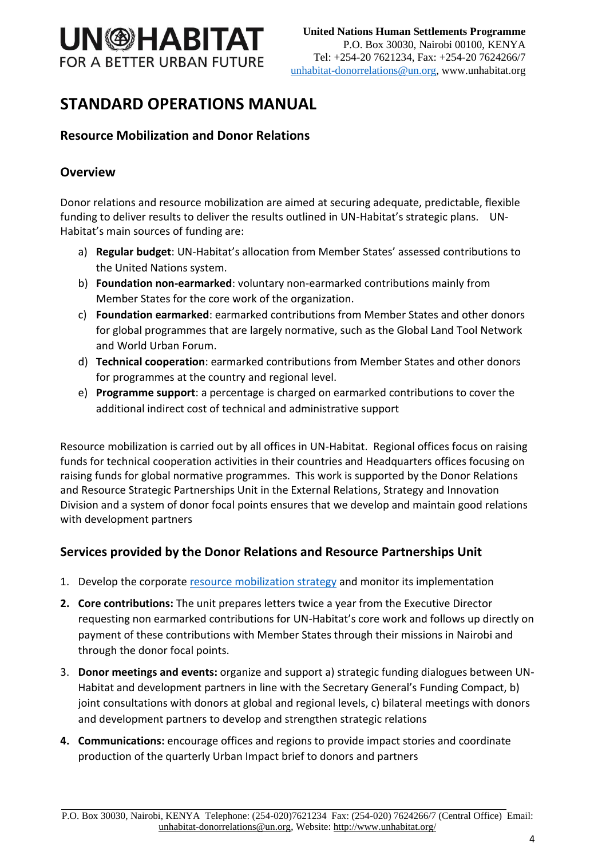

## **STANDARD OPERATIONS MANUAL**

### <span id="page-3-0"></span>**Resource Mobilization and Donor Relations**

#### <span id="page-3-1"></span>**Overview**

Donor relations and resource mobilization are aimed at securing adequate, predictable, flexible funding to deliver results to deliver the results outlined in UN-Habitat's strategic plans. UN-Habitat's main sources of funding are:

- a) **Regular budget**: UN-Habitat's allocation from Member States' assessed contributions to the United Nations system.
- b) **Foundation non-earmarked**: voluntary non-earmarked contributions mainly from Member States for the core work of the organization.
- c) **Foundation earmarked**: earmarked contributions from Member States and other donors for global programmes that are largely normative, such as the Global Land Tool Network and World Urban Forum.
- d) **Technical cooperation**: earmarked contributions from Member States and other donors for programmes at the country and regional level.
- e) **Programme support**: a percentage is charged on earmarked contributions to cover the additional indirect cost of technical and administrative support

Resource mobilization is carried out by all offices in UN-Habitat. Regional offices focus on raising funds for technical cooperation activities in their countries and Headquarters offices focusing on raising funds for global normative programmes. This work is supported by the Donor Relations and Resource Strategic Partnerships Unit in the External Relations, Strategy and Innovation Division and a system of donor focal points ensures that we develop and maintain good relations with development partners

### <span id="page-3-2"></span>**Services provided by the Donor Relations and Resource Partnerships Unit**

- 1. Develop the corporat[e resource mobilization strategy](https://dis.unhabitat.org/DIS/resources1.aspx?page_id=3004) and monitor its implementation
- **2. Core contributions:** The unit prepares letters twice a year from the Executive Director requesting non earmarked contributions for UN-Habitat's core work and follows up directly on payment of these contributions with Member States through their missions in Nairobi and through the donor focal points.
- 3. **Donor meetings and events:** organize and support a) strategic funding dialogues between UN-Habitat and development partners in line with the Secretary General's Funding Compact, b) joint consultations with donors at global and regional levels, c) bilateral meetings with donors and development partners to develop and strengthen strategic relations
- **4. Communications:** encourage offices and regions to provide impact stories and coordinate production of the quarterly Urban Impact brief to donors and partners

P.O. Box 30030, Nairobi, KENYA Telephone: (254-020)7621234 Fax: (254-020) 7624266/7 (Central Office) Email: unhabitat-donorrelations@un.org, Website[: http://www.unhabitat.org/](http://www.unhabitat.org/)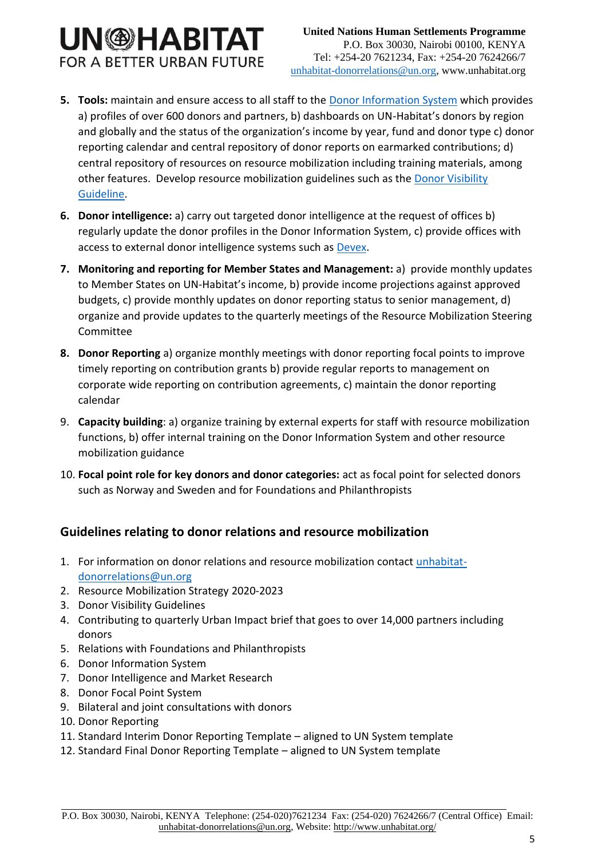- **5. Tools:** maintain and ensure access to all staff to the [Donor Information System](https://dis.unhabitat.org/dis/dashboard.aspx) which provides a) profiles of over 600 donors and partners, b) dashboards on UN-Habitat's donors by region and globally and the status of the organization's income by year, fund and donor type c) donor reporting calendar and central repository of donor reports on earmarked contributions; d) central repository of resources on resource mobilization including training materials, among other features. Develop resource mobilization guidelines such as the **Donor Visibility** [Guideline.](https://dis.unhabitat.org/DIS/resources1.aspx?page_id=3004)
- **6. Donor intelligence:** a) carry out targeted donor intelligence at the request of offices b) regularly update the donor profiles in the Donor Information System, c) provide offices with access to external donor intelligence systems such as [Devex.](https://www.devex.com/)
- **7. Monitoring and reporting for Member States and Management:** a) provide monthly updates to Member States on UN-Habitat's income, b) provide income projections against approved budgets, c) provide monthly updates on donor reporting status to senior management, d) organize and provide updates to the quarterly meetings of the Resource Mobilization Steering Committee
- **8. Donor Reporting** a) organize monthly meetings with donor reporting focal points to improve timely reporting on contribution grants b) provide regular reports to management on corporate wide reporting on contribution agreements, c) maintain the donor reporting calendar
- 9. **Capacity building**: a) organize training by external experts for staff with resource mobilization functions, b) offer internal training on the Donor Information System and other resource mobilization guidance
- 10. **Focal point role for key donors and donor categories:** act as focal point for selected donors such as Norway and Sweden and for Foundations and Philanthropists

## <span id="page-4-0"></span>**Guidelines relating to donor relations and resource mobilization**

- 1. For information on donor relations and resource mobilization contact [unhabitat](mailto:unhabitat-donorrelations@un.org)[donorrelations@un.org](mailto:unhabitat-donorrelations@un.org)
- 2. Resource Mobilization Strategy 2020-2023
- 3. Donor Visibility Guidelines
- 4. Contributing to quarterly Urban Impact brief that goes to over 14,000 partners including donors
- 5. Relations with Foundations and Philanthropists
- 6. Donor Information System
- 7. Donor Intelligence and Market Research
- 8. Donor Focal Point System
- 9. Bilateral and joint consultations with donors
- 10. Donor Reporting
- 11. Standard Interim Donor Reporting Template aligned to UN System template
- 12. Standard Final Donor Reporting Template aligned to UN System template

P.O. Box 30030, Nairobi, KENYA Telephone: (254-020)7621234 Fax: (254-020) 7624266/7 (Central Office) Email: unhabitat-donorrelations@un.org, Website[: http://www.unhabitat.org/](http://www.unhabitat.org/)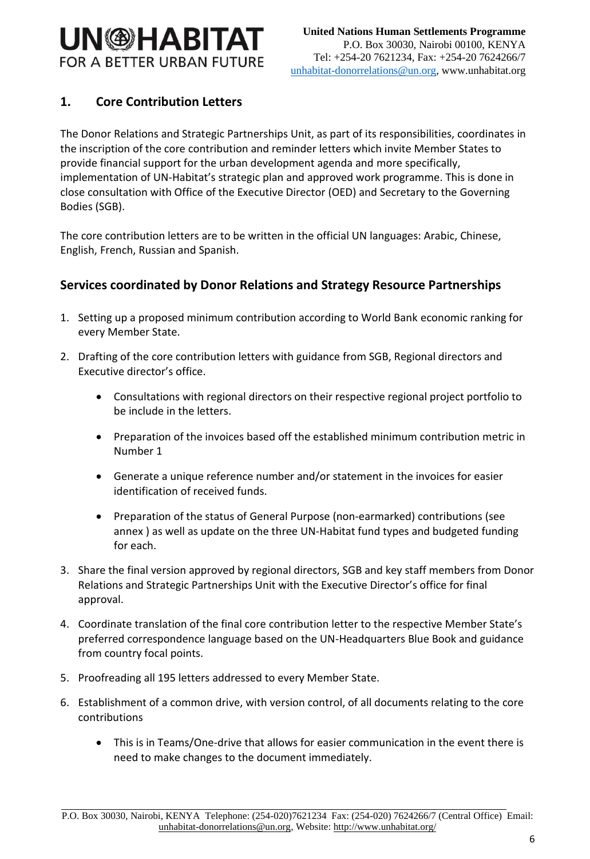## <span id="page-5-0"></span>**1. Core Contribution Letters**

The Donor Relations and Strategic Partnerships Unit, as part of its responsibilities, coordinates in the inscription of the core contribution and reminder letters which invite Member States to provide financial support for the urban development agenda and more specifically, implementation of UN-Habitat's strategic plan and approved work programme. This is done in close consultation with Office of the Executive Director (OED) and Secretary to the Governing Bodies (SGB).

The core contribution letters are to be written in the official UN languages: Arabic, Chinese, English, French, Russian and Spanish.

### <span id="page-5-1"></span>**Services coordinated by Donor Relations and Strategy Resource Partnerships**

- 1. Setting up a proposed minimum contribution according to World Bank economic ranking for every Member State.
- 2. Drafting of the core contribution letters with guidance from SGB, Regional directors and Executive director's office.
	- Consultations with regional directors on their respective regional project portfolio to be include in the letters.
	- Preparation of the invoices based off the established minimum contribution metric in Number 1
	- Generate a unique reference number and/or statement in the invoices for easier identification of received funds.
	- Preparation of the status of General Purpose (non-earmarked) contributions (see annex ) as well as update on the three UN-Habitat fund types and budgeted funding for each.
- 3. Share the final version approved by regional directors, SGB and key staff members from Donor Relations and Strategic Partnerships Unit with the Executive Director's office for final approval.
- 4. Coordinate translation of the final core contribution letter to the respective Member State's preferred correspondence language based on the UN-Headquarters Blue Book and guidance from country focal points.
- 5. Proofreading all 195 letters addressed to every Member State.
- 6. Establishment of a common drive, with version control, of all documents relating to the core contributions
	- This is in Teams/One-drive that allows for easier communication in the event there is need to make changes to the document immediately.

P.O. Box 30030, Nairobi, KENYA Telephone: (254-020)7621234 Fax: (254-020) 7624266/7 (Central Office) Email: unhabitat-donorrelations@un.org, Website[: http://www.unhabitat.org/](http://www.unhabitat.org/)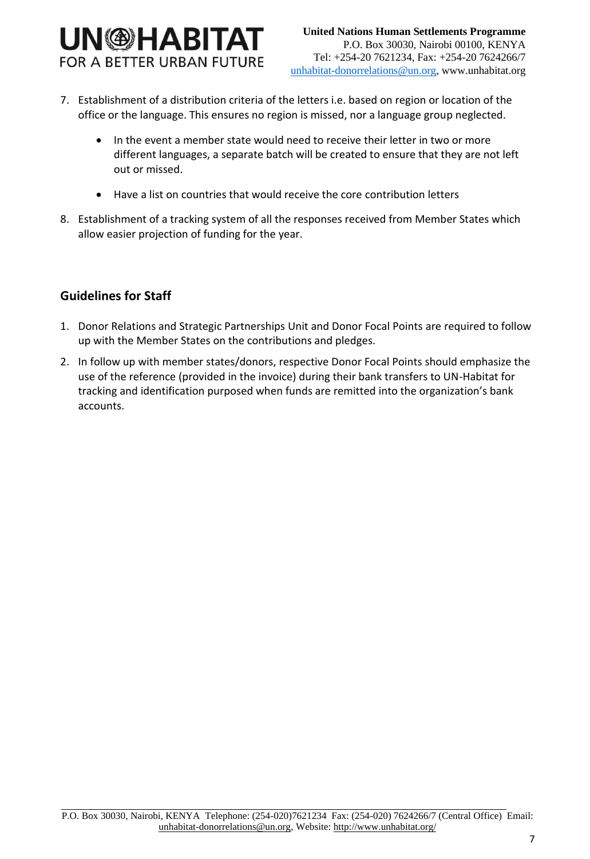## **UN<sup>®</sup>HABITAT FOR A BETTER URBAN FUTURE**

- 7. Establishment of a distribution criteria of the letters i.e. based on region or location of the office or the language. This ensures no region is missed, nor a language group neglected.
	- In the event a member state would need to receive their letter in two or more different languages, a separate batch will be created to ensure that they are not left out or missed.
	- Have a list on countries that would receive the core contribution letters
- 8. Establishment of a tracking system of all the responses received from Member States which allow easier projection of funding for the year.

### <span id="page-6-0"></span>**Guidelines for Staff**

- 1. Donor Relations and Strategic Partnerships Unit and Donor Focal Points are required to follow up with the Member States on the contributions and pledges.
- 2. In follow up with member states/donors, respective Donor Focal Points should emphasize the use of the reference (provided in the invoice) during their bank transfers to UN-Habitat for tracking and identification purposed when funds are remitted into the organization's bank accounts.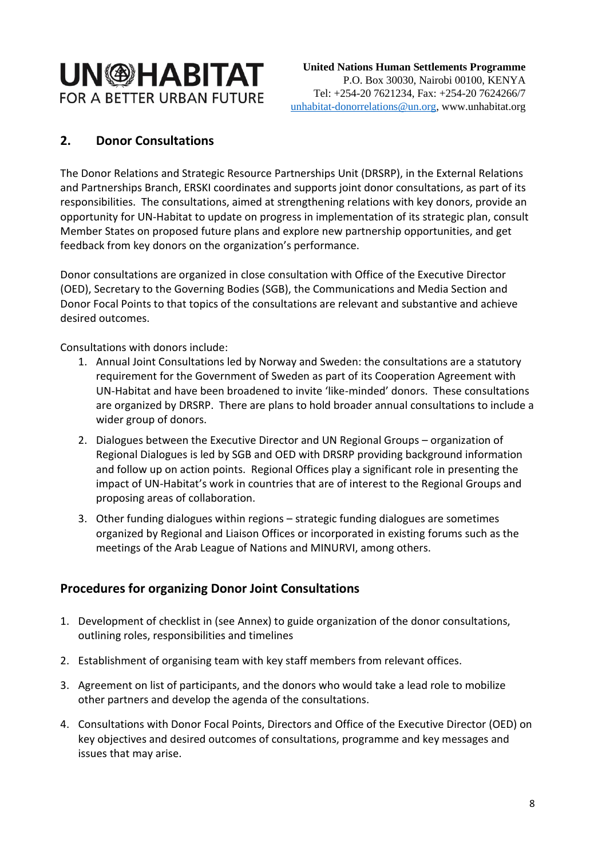## <span id="page-7-0"></span>**2. Donor Consultations**

The Donor Relations and Strategic Resource Partnerships Unit (DRSRP), in the External Relations and Partnerships Branch, ERSKI coordinates and supports joint donor consultations, as part of its responsibilities. The consultations, aimed at strengthening relations with key donors, provide an opportunity for UN-Habitat to update on progress in implementation of its strategic plan, consult Member States on proposed future plans and explore new partnership opportunities, and get feedback from key donors on the organization's performance.

Donor consultations are organized in close consultation with Office of the Executive Director (OED), Secretary to the Governing Bodies (SGB), the Communications and Media Section and Donor Focal Points to that topics of the consultations are relevant and substantive and achieve desired outcomes.

Consultations with donors include:

- 1. Annual Joint Consultations led by Norway and Sweden: the consultations are a statutory requirement for the Government of Sweden as part of its Cooperation Agreement with UN-Habitat and have been broadened to invite 'like-minded' donors. These consultations are organized by DRSRP. There are plans to hold broader annual consultations to include a wider group of donors.
- 2. Dialogues between the Executive Director and UN Regional Groups organization of Regional Dialogues is led by SGB and OED with DRSRP providing background information and follow up on action points. Regional Offices play a significant role in presenting the impact of UN-Habitat's work in countries that are of interest to the Regional Groups and proposing areas of collaboration.
- 3. Other funding dialogues within regions strategic funding dialogues are sometimes organized by Regional and Liaison Offices or incorporated in existing forums such as the meetings of the Arab League of Nations and MINURVI, among others.

### <span id="page-7-1"></span>**Procedures for organizing Donor Joint Consultations**

- 1. Development of checklist in (see Annex) to guide organization of the donor consultations, outlining roles, responsibilities and timelines
- 2. Establishment of organising team with key staff members from relevant offices.
- 3. Agreement on list of participants, and the donors who would take a lead role to mobilize other partners and develop the agenda of the consultations.
- 4. Consultations with Donor Focal Points, Directors and Office of the Executive Director (OED) on key objectives and desired outcomes of consultations, programme and key messages and issues that may arise.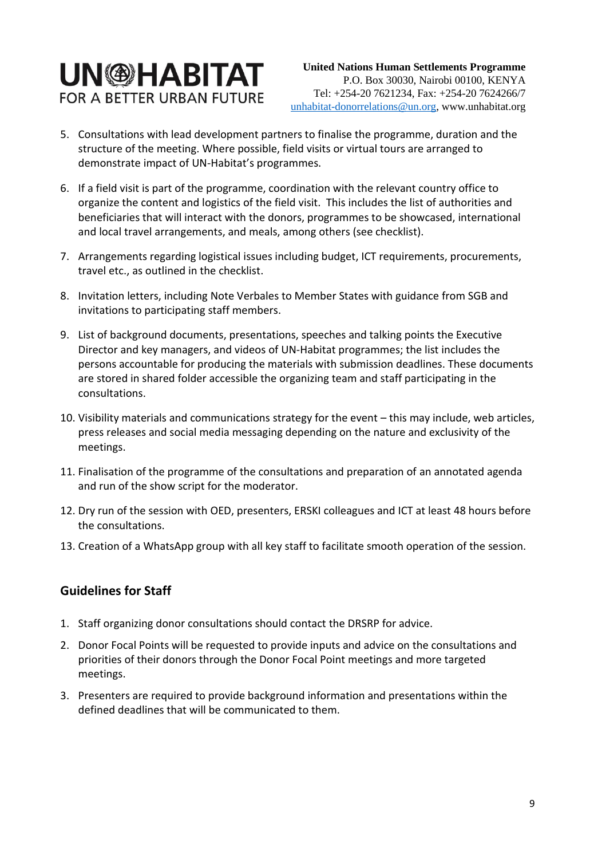# **UN<sup>®HABITAT**</sup> **FOR A BETTER URBAN FUTURE**

- 5. Consultations with lead development partners to finalise the programme, duration and the structure of the meeting. Where possible, field visits or virtual tours are arranged to demonstrate impact of UN-Habitat's programmes.
- 6. If a field visit is part of the programme, coordination with the relevant country office to organize the content and logistics of the field visit. This includes the list of authorities and beneficiaries that will interact with the donors, programmes to be showcased, international and local travel arrangements, and meals, among others (see checklist).
- 7. Arrangements regarding logistical issues including budget, ICT requirements, procurements, travel etc., as outlined in the checklist.
- 8. Invitation letters, including Note Verbales to Member States with guidance from SGB and invitations to participating staff members.
- 9. List of background documents, presentations, speeches and talking points the Executive Director and key managers, and videos of UN-Habitat programmes; the list includes the persons accountable for producing the materials with submission deadlines. These documents are stored in shared folder accessible the organizing team and staff participating in the consultations.
- 10. Visibility materials and communications strategy for the event this may include, web articles, press releases and social media messaging depending on the nature and exclusivity of the meetings.
- 11. Finalisation of the programme of the consultations and preparation of an annotated agenda and run of the show script for the moderator.
- 12. Dry run of the session with OED, presenters, ERSKI colleagues and ICT at least 48 hours before the consultations.
- 13. Creation of a WhatsApp group with all key staff to facilitate smooth operation of the session.

### <span id="page-8-0"></span>**Guidelines for Staff**

- 1. Staff organizing donor consultations should contact the DRSRP for advice.
- 2. Donor Focal Points will be requested to provide inputs and advice on the consultations and priorities of their donors through the Donor Focal Point meetings and more targeted meetings.
- 3. Presenters are required to provide background information and presentations within the defined deadlines that will be communicated to them.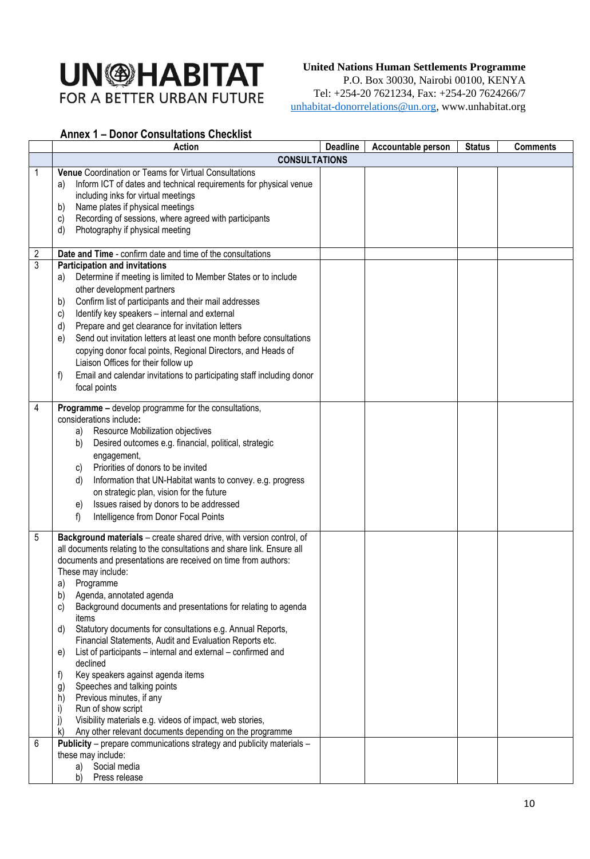#### **United Nations Human Settlements Programme**

P.O. Box 30030, Nairobi 00100, KENYA Tel: +254-20 7621234, Fax: +254-20 7624266/7 unhabitat-donorrelations@un.org, www.unhabitat.org

#### <span id="page-9-0"></span>**Annex 1 – Donor Consultations Checklist**

|             | <b>Action</b>                                                                                                                                                                                                                                                                                                                                                                                                                                                                                                                                                                                                                                                                                                                                                                                                                                                                                                       | <b>Deadline</b> | Accountable person | <b>Status</b> | <b>Comments</b> |
|-------------|---------------------------------------------------------------------------------------------------------------------------------------------------------------------------------------------------------------------------------------------------------------------------------------------------------------------------------------------------------------------------------------------------------------------------------------------------------------------------------------------------------------------------------------------------------------------------------------------------------------------------------------------------------------------------------------------------------------------------------------------------------------------------------------------------------------------------------------------------------------------------------------------------------------------|-----------------|--------------------|---------------|-----------------|
|             | <b>CONSULTATIONS</b>                                                                                                                                                                                                                                                                                                                                                                                                                                                                                                                                                                                                                                                                                                                                                                                                                                                                                                |                 |                    |               |                 |
| 1<br>2<br>3 | Venue Coordination or Teams for Virtual Consultations<br>Inform ICT of dates and technical requirements for physical venue<br>a)<br>including inks for virtual meetings<br>Name plates if physical meetings<br>b)<br>Recording of sessions, where agreed with participants<br>C)<br>Photography if physical meeting<br>d)<br>Date and Time - confirm date and time of the consultations<br><b>Participation and invitations</b><br>Determine if meeting is limited to Member States or to include<br>a)<br>other development partners<br>Confirm list of participants and their mail addresses<br>b)<br>Identify key speakers - internal and external<br>C)<br>Prepare and get clearance for invitation letters<br>$\mathsf{d}$<br>Send out invitation letters at least one month before consultations<br>e)<br>copying donor focal points, Regional Directors, and Heads of<br>Liaison Offices for their follow up |                 |                    |               |                 |
|             | Email and calendar invitations to participating staff including donor<br>f)<br>focal points                                                                                                                                                                                                                                                                                                                                                                                                                                                                                                                                                                                                                                                                                                                                                                                                                         |                 |                    |               |                 |
| 4           | <b>Programme - develop programme for the consultations,</b><br>considerations include:<br>Resource Mobilization objectives<br>a)<br>Desired outcomes e.g. financial, political, strategic<br>b)<br>engagement,<br>Priorities of donors to be invited<br>C)<br>Information that UN-Habitat wants to convey. e.g. progress<br>d)<br>on strategic plan, vision for the future<br>Issues raised by donors to be addressed<br>e)<br>Intelligence from Donor Focal Points<br>f)                                                                                                                                                                                                                                                                                                                                                                                                                                           |                 |                    |               |                 |
| 5           | Background materials - create shared drive, with version control, of<br>all documents relating to the consultations and share link. Ensure all<br>documents and presentations are received on time from authors:<br>These may include:<br>a) Programme<br>b)<br>Agenda, annotated agenda<br>Background documents and presentations for relating to agenda<br>C)<br>items<br>Statutory documents for consultations e.g. Annual Reports,<br>d)<br>Financial Statements, Audit and Evaluation Reports etc.<br>List of participants – internal and external – confirmed and<br>e)<br>declined<br>f)<br>Key speakers against agenda items<br>Speeches and talking points<br>g)<br>Previous minutes, if any<br>h)<br>Run of show script<br>i)<br>j)<br>Visibility materials e.g. videos of impact, web stories,<br>$\mathsf{k}$<br>Any other relevant documents depending on the programme                                |                 |                    |               |                 |
| 6           | Publicity - prepare communications strategy and publicity materials -<br>these may include:<br>a) Social media<br>Press release<br>b)                                                                                                                                                                                                                                                                                                                                                                                                                                                                                                                                                                                                                                                                                                                                                                               |                 |                    |               |                 |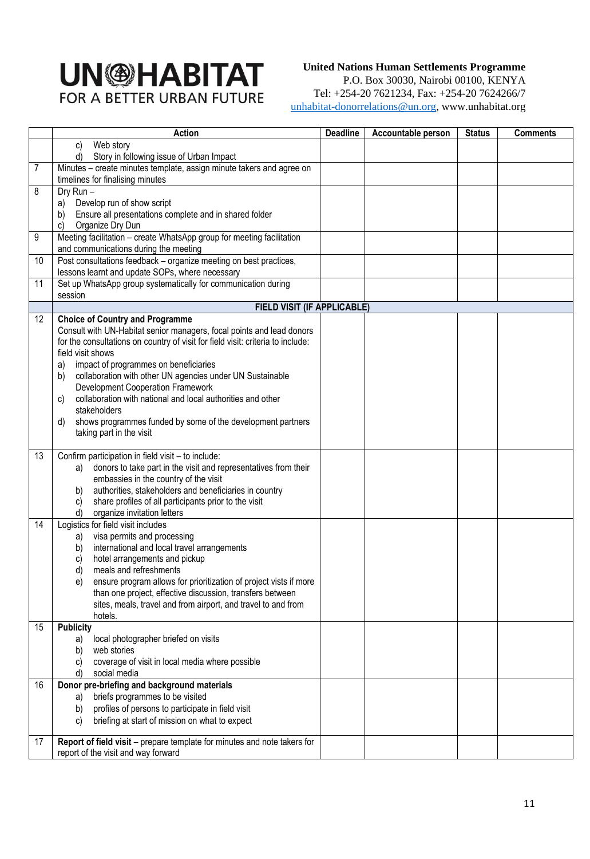#### **United Nations Human Settlements Programme**

P.O. Box 30030, Nairobi 00100, KENYA Tel: +254-20 7621234, Fax: +254-20 7624266/7 unhabitat-donorrelations@un.org, www.unhabitat.org

|    | <b>Action</b>                                                                                                  | <b>Deadline</b> | Accountable person | <b>Status</b> | <b>Comments</b> |
|----|----------------------------------------------------------------------------------------------------------------|-----------------|--------------------|---------------|-----------------|
|    | Web story<br>C)                                                                                                |                 |                    |               |                 |
|    | Story in following issue of Urban Impact<br>d)                                                                 |                 |                    |               |                 |
| 7  | Minutes - create minutes template, assign minute takers and agree on                                           |                 |                    |               |                 |
|    | timelines for finalising minutes                                                                               |                 |                    |               |                 |
| 8  | Dry Run-                                                                                                       |                 |                    |               |                 |
|    | Develop run of show script<br>a)                                                                               |                 |                    |               |                 |
|    | Ensure all presentations complete and in shared folder<br>b)<br>Organize Dry Dun<br>C)                         |                 |                    |               |                 |
| 9  | Meeting facilitation - create WhatsApp group for meeting facilitation                                          |                 |                    |               |                 |
|    | and communications during the meeting                                                                          |                 |                    |               |                 |
| 10 | Post consultations feedback - organize meeting on best practices,                                              |                 |                    |               |                 |
|    | lessons learnt and update SOPs, where necessary                                                                |                 |                    |               |                 |
| 11 | Set up WhatsApp group systematically for communication during                                                  |                 |                    |               |                 |
|    | session                                                                                                        |                 |                    |               |                 |
|    | <b>FIELD VISIT (IF APPLICABLE)</b>                                                                             |                 |                    |               |                 |
| 12 | <b>Choice of Country and Programme</b>                                                                         |                 |                    |               |                 |
|    | Consult with UN-Habitat senior managers, focal points and lead donors                                          |                 |                    |               |                 |
|    | for the consultations on country of visit for field visit: criteria to include:<br>field visit shows           |                 |                    |               |                 |
|    | impact of programmes on beneficiaries<br>a)                                                                    |                 |                    |               |                 |
|    | collaboration with other UN agencies under UN Sustainable<br>b)                                                |                 |                    |               |                 |
|    | <b>Development Cooperation Framework</b>                                                                       |                 |                    |               |                 |
|    | collaboration with national and local authorities and other<br>C)                                              |                 |                    |               |                 |
|    | stakeholders                                                                                                   |                 |                    |               |                 |
|    | shows programmes funded by some of the development partners<br>d)                                              |                 |                    |               |                 |
|    | taking part in the visit                                                                                       |                 |                    |               |                 |
|    |                                                                                                                |                 |                    |               |                 |
| 13 | Confirm participation in field visit - to include:                                                             |                 |                    |               |                 |
|    | donors to take part in the visit and representatives from their<br>a)<br>embassies in the country of the visit |                 |                    |               |                 |
|    | authorities, stakeholders and beneficiaries in country<br>b)                                                   |                 |                    |               |                 |
|    | share profiles of all participants prior to the visit<br>c)                                                    |                 |                    |               |                 |
|    | organize invitation letters<br>d)                                                                              |                 |                    |               |                 |
| 14 | Logistics for field visit includes                                                                             |                 |                    |               |                 |
|    | visa permits and processing<br>a)                                                                              |                 |                    |               |                 |
|    | international and local travel arrangements<br>b)                                                              |                 |                    |               |                 |
|    | hotel arrangements and pickup<br>C)                                                                            |                 |                    |               |                 |
|    | d)<br>meals and refreshments                                                                                   |                 |                    |               |                 |
|    | ensure program allows for prioritization of project vists if more<br>e)                                        |                 |                    |               |                 |
|    | than one project, effective discussion, transfers between                                                      |                 |                    |               |                 |
|    | sites, meals, travel and from airport, and travel to and from<br>hotels.                                       |                 |                    |               |                 |
| 15 | <b>Publicity</b>                                                                                               |                 |                    |               |                 |
|    | local photographer briefed on visits<br>a)                                                                     |                 |                    |               |                 |
|    | web stories<br>b)                                                                                              |                 |                    |               |                 |
|    | coverage of visit in local media where possible<br>C)                                                          |                 |                    |               |                 |
|    | social media<br>d)                                                                                             |                 |                    |               |                 |
| 16 | Donor pre-briefing and background materials                                                                    |                 |                    |               |                 |
|    | briefs programmes to be visited<br>a)                                                                          |                 |                    |               |                 |
|    | profiles of persons to participate in field visit<br>b)                                                        |                 |                    |               |                 |
|    | briefing at start of mission on what to expect<br>C)                                                           |                 |                    |               |                 |
| 17 | Report of field visit - prepare template for minutes and note takers for                                       |                 |                    |               |                 |
|    | report of the visit and way forward                                                                            |                 |                    |               |                 |
|    |                                                                                                                |                 |                    |               |                 |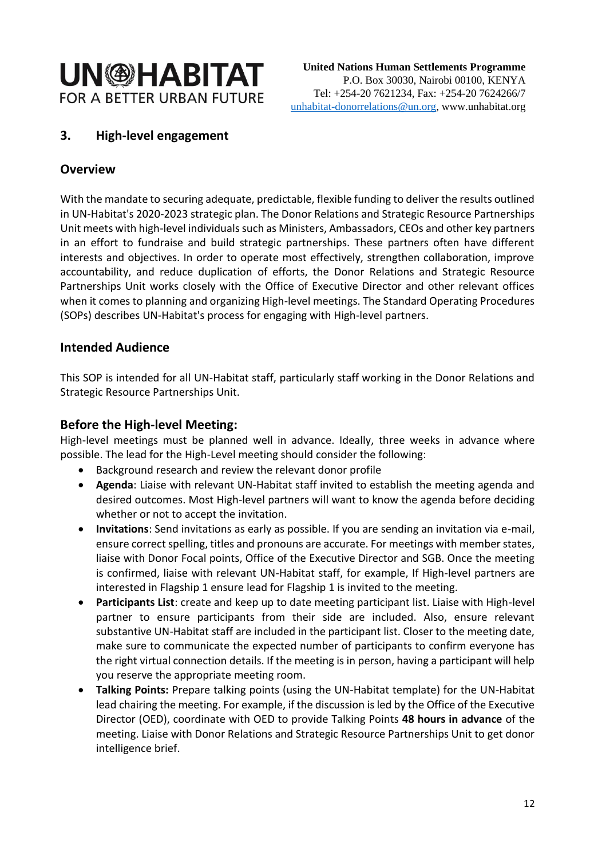## <span id="page-11-0"></span>**3. High-level engagement**

#### <span id="page-11-1"></span>**Overview**

With the mandate to securing adequate, predictable, flexible funding to deliver the results outlined in UN-Habitat's 2020-2023 strategic plan. The Donor Relations and Strategic Resource Partnerships Unit meets with high-level individuals such as Ministers, Ambassadors, CEOs and other key partners in an effort to fundraise and build strategic partnerships. These partners often have different interests and objectives. In order to operate most effectively, strengthen collaboration, improve accountability, and reduce duplication of efforts, the Donor Relations and Strategic Resource Partnerships Unit works closely with the Office of Executive Director and other relevant offices when it comes to planning and organizing High-level meetings. The Standard Operating Procedures (SOPs) describes UN-Habitat's process for engaging with High-level partners.

#### <span id="page-11-2"></span>**Intended Audience**

This SOP is intended for all UN-Habitat staff, particularly staff working in the Donor Relations and Strategic Resource Partnerships Unit.

#### <span id="page-11-3"></span>**Before the High-level Meeting:**

High-level meetings must be planned well in advance. Ideally, three weeks in advance where possible. The lead for the High-Level meeting should consider the following:

- Background research and review the relevant donor profile
- **Agenda**: Liaise with relevant UN-Habitat staff invited to establish the meeting agenda and desired outcomes. Most High-level partners will want to know the agenda before deciding whether or not to accept the invitation.
- **Invitations**: Send invitations as early as possible. If you are sending an invitation via e-mail, ensure correct spelling, titles and pronouns are accurate. For meetings with member states, liaise with Donor Focal points, Office of the Executive Director and SGB. Once the meeting is confirmed, liaise with relevant UN-Habitat staff, for example, If High-level partners are interested in Flagship 1 ensure lead for Flagship 1 is invited to the meeting.
- **Participants List**: create and keep up to date meeting participant list. Liaise with High-level partner to ensure participants from their side are included. Also, ensure relevant substantive UN-Habitat staff are included in the participant list. Closer to the meeting date, make sure to communicate the expected number of participants to confirm everyone has the right virtual connection details. If the meeting is in person, having a participant will help you reserve the appropriate meeting room.
- **Talking Points:** Prepare talking points (using the UN-Habitat template) for the UN-Habitat lead chairing the meeting. For example, if the discussion is led by the Office of the Executive Director (OED), coordinate with OED to provide Talking Points **48 hours in advance** of the meeting. Liaise with Donor Relations and Strategic Resource Partnerships Unit to get donor intelligence brief.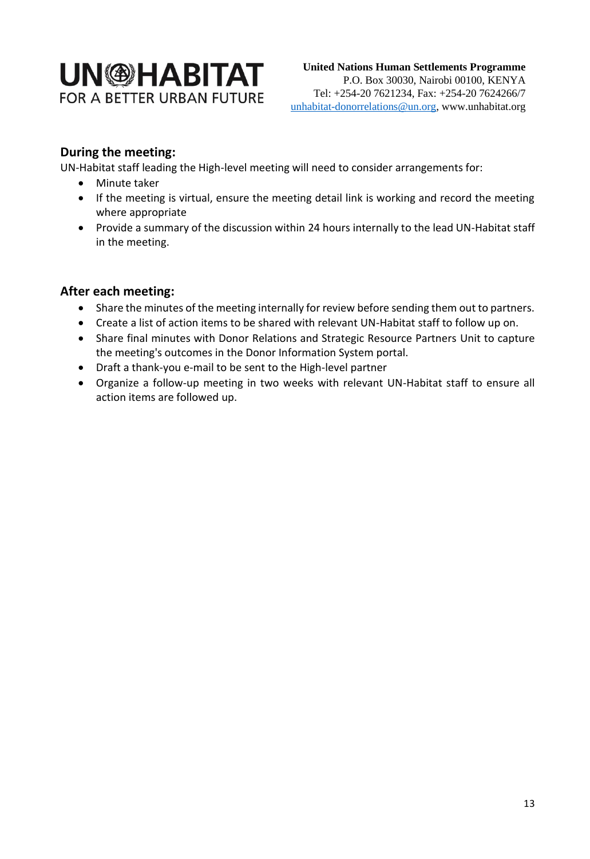### <span id="page-12-0"></span>**During the meeting:**

UN-Habitat staff leading the High-level meeting will need to consider arrangements for:

- Minute taker
- If the meeting is virtual, ensure the meeting detail link is working and record the meeting where appropriate
- Provide a summary of the discussion within 24 hours internally to the lead UN-Habitat staff in the meeting.

### <span id="page-12-1"></span>**After each meeting:**

- Share the minutes of the meeting internally for review before sending them out to partners.
- Create a list of action items to be shared with relevant UN-Habitat staff to follow up on.
- Share final minutes with Donor Relations and Strategic Resource Partners Unit to capture the meeting's outcomes in the Donor Information System portal.
- Draft a thank-you e-mail to be sent to the High-level partner
- Organize a follow-up meeting in two weeks with relevant UN-Habitat staff to ensure all action items are followed up.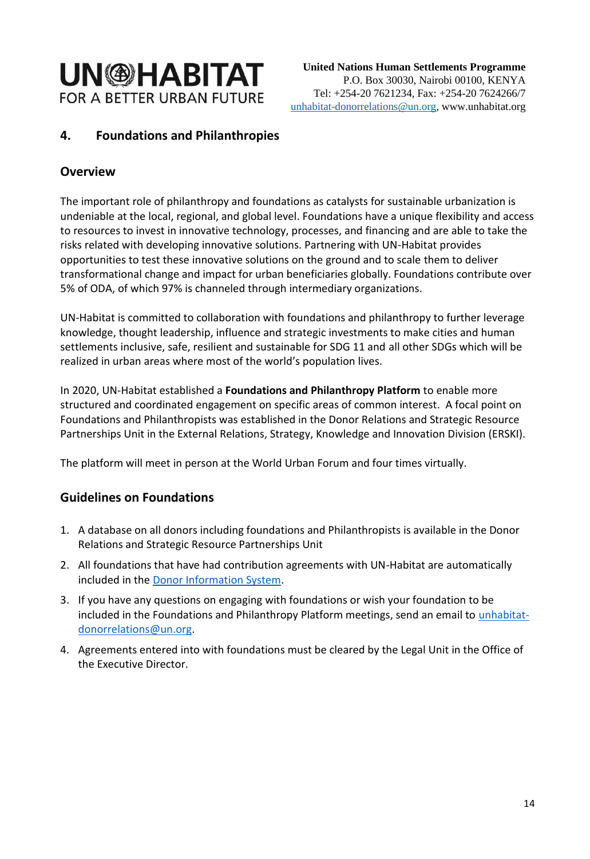## <span id="page-13-0"></span>**4. Foundations and Philanthropies**

#### <span id="page-13-1"></span>**Overview**

The important role of philanthropy and foundations as catalysts for sustainable urbanization is undeniable at the local, regional, and global level. Foundations have a unique flexibility and access to resources to invest in innovative technology, processes, and financing and are able to take the risks related with developing innovative solutions. Partnering with UN-Habitat provides opportunities to test these innovative solutions on the ground and to scale them to deliver transformational change and impact for urban beneficiaries globally. Foundations contribute over 5% of ODA, of which 97% is channeled through intermediary organizations.

UN-Habitat is committed to collaboration with foundations and philanthropy to further leverage knowledge, thought leadership, influence and strategic investments to make cities and human settlements inclusive, safe, resilient and sustainable for SDG 11 and all other SDGs which will be realized in urban areas where most of the world's population lives.

In 2020, UN-Habitat established a **Foundations and Philanthropy Platform** to enable more structured and coordinated engagement on specific areas of common interest. A focal point on Foundations and Philanthropists was established in the Donor Relations and Strategic Resource Partnerships Unit in the External Relations, Strategy, Knowledge and Innovation Division (ERSKI).

The platform will meet in person at the World Urban Forum and four times virtually.

### <span id="page-13-2"></span>**Guidelines on Foundations**

- 1. A database on all donors including foundations and Philanthropists is available in the Donor Relations and Strategic Resource Partnerships Unit
- 2. All foundations that have had contribution agreements with UN-Habitat are automatically included in the [Donor Information System.](dis.unhabitat.org/dis/dashboard.aspx)
- 3. If you have any questions on engaging with foundations or wish your foundation to be included in the Foundations and Philanthropy Platform meetings, send an email to *unhabitat*[donorrelations@un.org.](mailto:unhabitat-donorrelations@un.org)
- 4. Agreements entered into with foundations must be cleared by the Legal Unit in the Office of the Executive Director.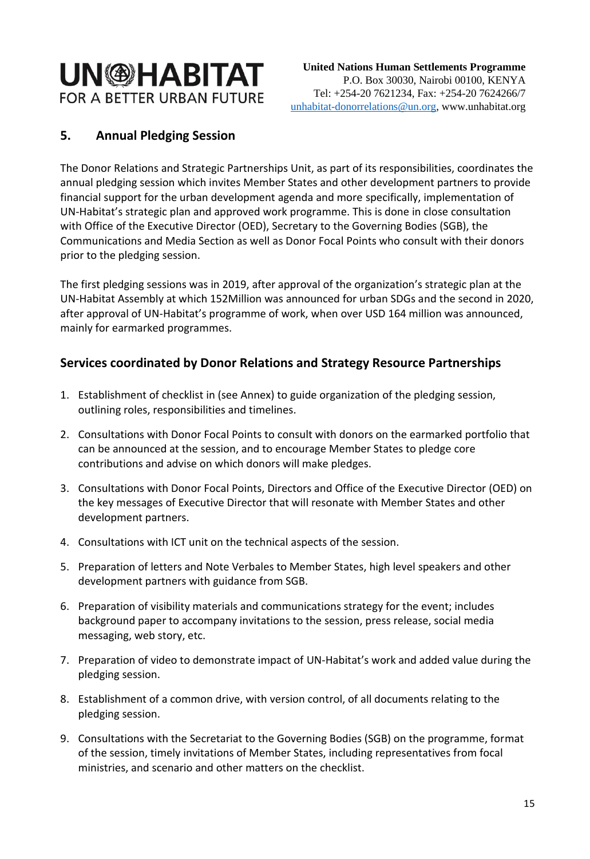## <span id="page-14-0"></span>**5. Annual Pledging Session**

The Donor Relations and Strategic Partnerships Unit, as part of its responsibilities, coordinates the annual pledging session which invites Member States and other development partners to provide financial support for the urban development agenda and more specifically, implementation of UN-Habitat's strategic plan and approved work programme. This is done in close consultation with Office of the Executive Director (OED), Secretary to the Governing Bodies (SGB), the Communications and Media Section as well as Donor Focal Points who consult with their donors prior to the pledging session.

The first pledging sessions was in 2019, after approval of the organization's strategic plan at the UN-Habitat Assembly at which 152Million was announced for urban SDGs and the second in 2020, after approval of UN-Habitat's programme of work, when over USD 164 million was announced, mainly for earmarked programmes.

### <span id="page-14-1"></span>**Services coordinated by Donor Relations and Strategy Resource Partnerships**

- 1. Establishment of checklist in (see Annex) to guide organization of the pledging session, outlining roles, responsibilities and timelines.
- 2. Consultations with Donor Focal Points to consult with donors on the earmarked portfolio that can be announced at the session, and to encourage Member States to pledge core contributions and advise on which donors will make pledges.
- 3. Consultations with Donor Focal Points, Directors and Office of the Executive Director (OED) on the key messages of Executive Director that will resonate with Member States and other development partners.
- 4. Consultations with ICT unit on the technical aspects of the session.
- 5. Preparation of letters and Note Verbales to Member States, high level speakers and other development partners with guidance from SGB.
- 6. Preparation of visibility materials and communications strategy for the event; includes background paper to accompany invitations to the session, press release, social media messaging, web story, etc.
- 7. Preparation of video to demonstrate impact of UN-Habitat's work and added value during the pledging session.
- 8. Establishment of a common drive, with version control, of all documents relating to the pledging session.
- 9. Consultations with the Secretariat to the Governing Bodies (SGB) on the programme, format of the session, timely invitations of Member States, including representatives from focal ministries, and scenario and other matters on the checklist.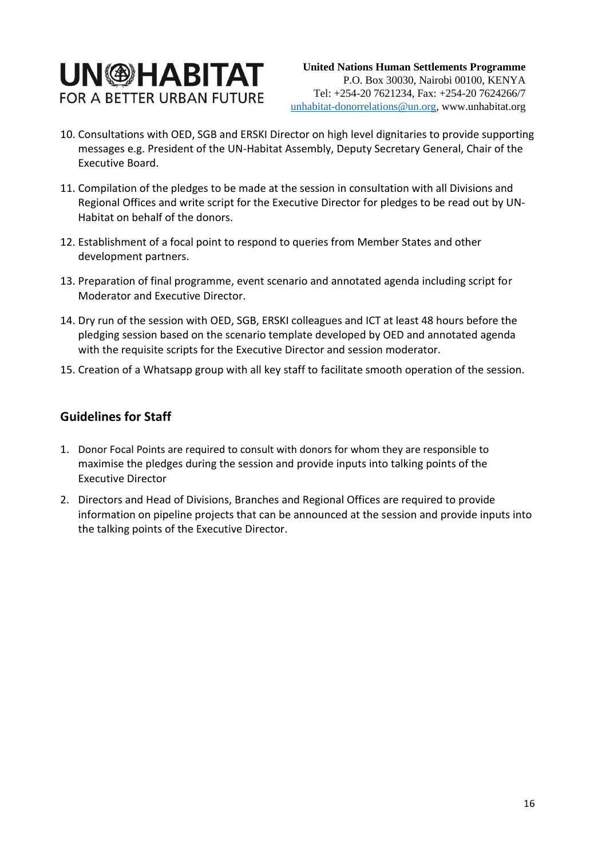## **UN<sup>®HABITAT**</sup> **FOR A BETTER URBAN FUTURE**

- 10. Consultations with OED, SGB and ERSKI Director on high level dignitaries to provide supporting messages e.g. President of the UN-Habitat Assembly, Deputy Secretary General, Chair of the Executive Board.
- 11. Compilation of the pledges to be made at the session in consultation with all Divisions and Regional Offices and write script for the Executive Director for pledges to be read out by UN-Habitat on behalf of the donors.
- 12. Establishment of a focal point to respond to queries from Member States and other development partners.
- 13. Preparation of final programme, event scenario and annotated agenda including script for Moderator and Executive Director.
- 14. Dry run of the session with OED, SGB, ERSKI colleagues and ICT at least 48 hours before the pledging session based on the scenario template developed by OED and annotated agenda with the requisite scripts for the Executive Director and session moderator.
- 15. Creation of a Whatsapp group with all key staff to facilitate smooth operation of the session.

#### <span id="page-15-0"></span>**Guidelines for Staff**

- 1. Donor Focal Points are required to consult with donors for whom they are responsible to maximise the pledges during the session and provide inputs into talking points of the Executive Director
- 2. Directors and Head of Divisions, Branches and Regional Offices are required to provide information on pipeline projects that can be announced at the session and provide inputs into the talking points of the Executive Director.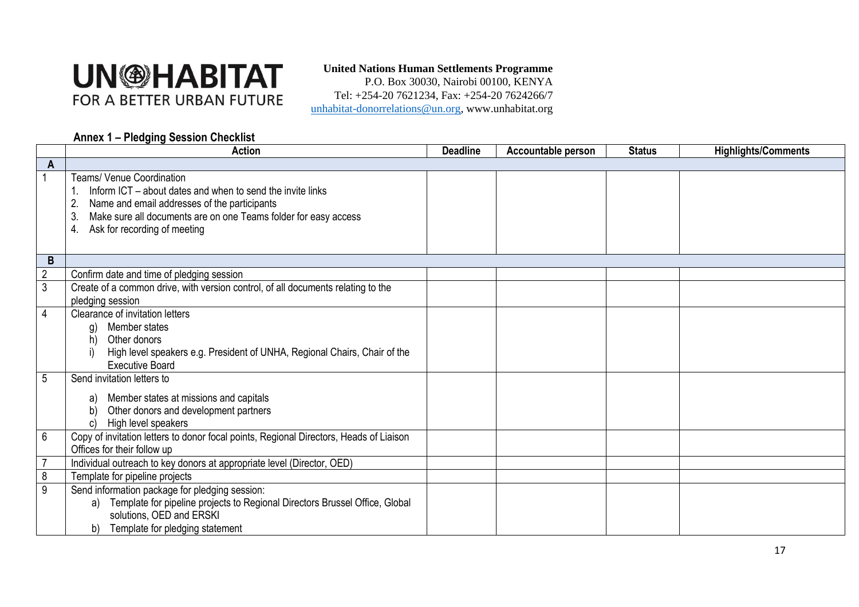#### **United Nations Human Settlements Programme**

P.O. Box 30030, Nairobi 00100, KENYA Tel: +254-20 7621234, Fax: +254-20 7624266/7 unhabitat-donorrelations@un.org, www.unhabitat.org

#### **Annex 1 – Pledging Session Checklist**

<span id="page-16-0"></span>

|                 | <b>Action</b>                                                                                                                                                                                                                                                 | <b>Deadline</b> | Accountable person | <b>Status</b> | <b>Highlights/Comments</b> |
|-----------------|---------------------------------------------------------------------------------------------------------------------------------------------------------------------------------------------------------------------------------------------------------------|-----------------|--------------------|---------------|----------------------------|
| $\mathsf{A}$    |                                                                                                                                                                                                                                                               |                 |                    |               |                            |
|                 | <b>Teams/ Venue Coordination</b><br>Inform ICT – about dates and when to send the invite links<br>Name and email addresses of the participants<br>Make sure all documents are on one Teams folder for easy access<br>3.<br>Ask for recording of meeting<br>4. |                 |                    |               |                            |
| B               |                                                                                                                                                                                                                                                               |                 |                    |               |                            |
| $\overline{2}$  | Confirm date and time of pledging session                                                                                                                                                                                                                     |                 |                    |               |                            |
| $\overline{3}$  | Create of a common drive, with version control, of all documents relating to the<br>pledging session                                                                                                                                                          |                 |                    |               |                            |
| 4               | Clearance of invitation letters<br>Member states<br>g)<br>Other donors<br>h)<br>High level speakers e.g. President of UNHA, Regional Chairs, Chair of the<br><b>Executive Board</b>                                                                           |                 |                    |               |                            |
| 5               | Send invitation letters to<br>Member states at missions and capitals<br>a)<br>Other donors and development partners<br>High level speakers                                                                                                                    |                 |                    |               |                            |
| $6\phantom{1}6$ | Copy of invitation letters to donor focal points, Regional Directors, Heads of Liaison<br>Offices for their follow up                                                                                                                                         |                 |                    |               |                            |
|                 | Individual outreach to key donors at appropriate level (Director, OED)                                                                                                                                                                                        |                 |                    |               |                            |
| $\overline{8}$  | Template for pipeline projects                                                                                                                                                                                                                                |                 |                    |               |                            |
| 9               | Send information package for pledging session:<br>Template for pipeline projects to Regional Directors Brussel Office, Global<br>a)<br>solutions, OED and ERSKI<br>Template for pledging statement<br>b)                                                      |                 |                    |               |                            |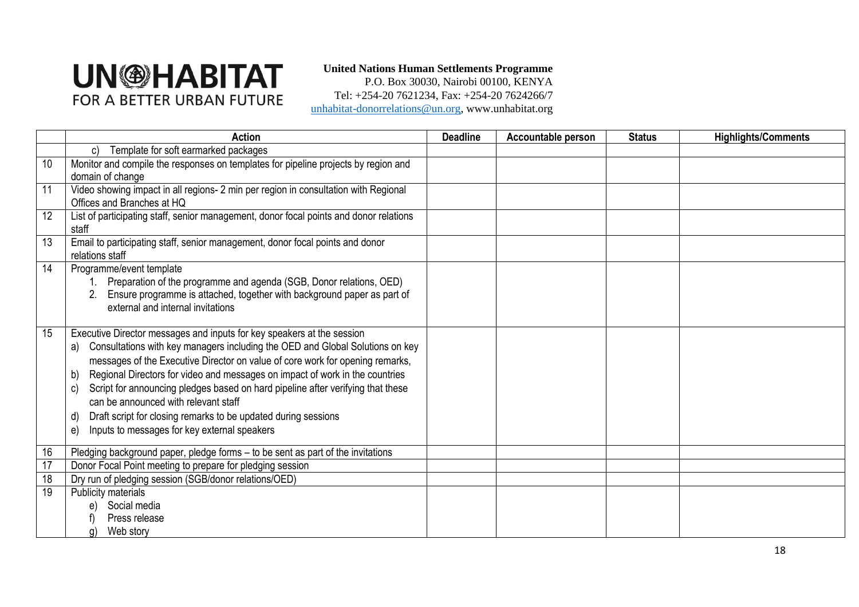#### **United Nations Human Settlements Programme**

P.O. Box 30030, Nairobi 00100, KENYA Tel: +254-20 7621234, Fax: +254-20 7624266/7 unhabitat-donorrelations@un.org, www.unhabitat.org

|    | <b>Action</b>                                                                                                                                                                                                                                                                                                                                                                                                                                                                                                                                                                                       | <b>Deadline</b> | Accountable person | <b>Status</b> | <b>Highlights/Comments</b> |
|----|-----------------------------------------------------------------------------------------------------------------------------------------------------------------------------------------------------------------------------------------------------------------------------------------------------------------------------------------------------------------------------------------------------------------------------------------------------------------------------------------------------------------------------------------------------------------------------------------------------|-----------------|--------------------|---------------|----------------------------|
|    | Template for soft earmarked packages<br>C)                                                                                                                                                                                                                                                                                                                                                                                                                                                                                                                                                          |                 |                    |               |                            |
| 10 | Monitor and compile the responses on templates for pipeline projects by region and                                                                                                                                                                                                                                                                                                                                                                                                                                                                                                                  |                 |                    |               |                            |
|    | domain of change                                                                                                                                                                                                                                                                                                                                                                                                                                                                                                                                                                                    |                 |                    |               |                            |
| 11 | Video showing impact in all regions- 2 min per region in consultation with Regional<br>Offices and Branches at HQ                                                                                                                                                                                                                                                                                                                                                                                                                                                                                   |                 |                    |               |                            |
| 12 | List of participating staff, senior management, donor focal points and donor relations<br>staff                                                                                                                                                                                                                                                                                                                                                                                                                                                                                                     |                 |                    |               |                            |
| 13 | Email to participating staff, senior management, donor focal points and donor<br>relations staff                                                                                                                                                                                                                                                                                                                                                                                                                                                                                                    |                 |                    |               |                            |
| 14 | Programme/event template<br>Preparation of the programme and agenda (SGB, Donor relations, OED)<br>Ensure programme is attached, together with background paper as part of<br>2.<br>external and internal invitations                                                                                                                                                                                                                                                                                                                                                                               |                 |                    |               |                            |
| 15 | Executive Director messages and inputs for key speakers at the session<br>Consultations with key managers including the OED and Global Solutions on key<br>a)<br>messages of the Executive Director on value of core work for opening remarks,<br>Regional Directors for video and messages on impact of work in the countries<br>b)<br>Script for announcing pledges based on hard pipeline after verifying that these<br>C)<br>can be announced with relevant staff<br>Draft script for closing remarks to be updated during sessions<br>d)<br>Inputs to messages for key external speakers<br>e) |                 |                    |               |                            |
| 16 | Pledging background paper, pledge forms - to be sent as part of the invitations                                                                                                                                                                                                                                                                                                                                                                                                                                                                                                                     |                 |                    |               |                            |
| 17 | Donor Focal Point meeting to prepare for pledging session                                                                                                                                                                                                                                                                                                                                                                                                                                                                                                                                           |                 |                    |               |                            |
| 18 | Dry run of pledging session (SGB/donor relations/OED)                                                                                                                                                                                                                                                                                                                                                                                                                                                                                                                                               |                 |                    |               |                            |
| 19 | Publicity materials                                                                                                                                                                                                                                                                                                                                                                                                                                                                                                                                                                                 |                 |                    |               |                            |
|    | Social media<br>e)                                                                                                                                                                                                                                                                                                                                                                                                                                                                                                                                                                                  |                 |                    |               |                            |
|    | Press release                                                                                                                                                                                                                                                                                                                                                                                                                                                                                                                                                                                       |                 |                    |               |                            |
|    | Web story<br>g)                                                                                                                                                                                                                                                                                                                                                                                                                                                                                                                                                                                     |                 |                    |               |                            |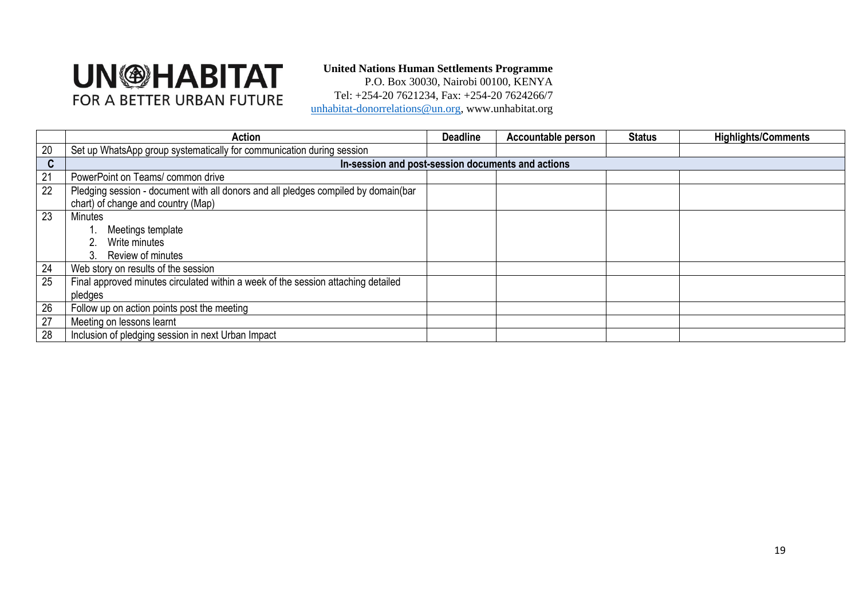#### **United Nations Human Settlements Programme**

P.O. Box 30030, Nairobi 00100, KENYA Tel: +254-20 7621234, Fax: +254-20 7624266/7 unhabitat-donorrelations@un.org, www.unhabitat.org

|    | <b>Action</b>                                                                      | <b>Deadline</b> | <b>Accountable person</b> | <b>Status</b> | <b>Highlights/Comments</b> |
|----|------------------------------------------------------------------------------------|-----------------|---------------------------|---------------|----------------------------|
| 20 | Set up WhatsApp group systematically for communication during session              |                 |                           |               |                            |
| C  | In-session and post-session documents and actions                                  |                 |                           |               |                            |
| 21 | PowerPoint on Teams/ common drive                                                  |                 |                           |               |                            |
| 22 | Pledging session - document with all donors and all pledges compiled by domain(bar |                 |                           |               |                            |
|    | chart) of change and country (Map)                                                 |                 |                           |               |                            |
| 23 | <b>Minutes</b>                                                                     |                 |                           |               |                            |
|    | Meetings template                                                                  |                 |                           |               |                            |
|    | Write minutes                                                                      |                 |                           |               |                            |
|    | Review of minutes<br>3.                                                            |                 |                           |               |                            |
| 24 | Web story on results of the session                                                |                 |                           |               |                            |
| 25 | Final approved minutes circulated within a week of the session attaching detailed  |                 |                           |               |                            |
|    | pledges                                                                            |                 |                           |               |                            |
| 26 | Follow up on action points post the meeting                                        |                 |                           |               |                            |
| 27 | Meeting on lessons learnt                                                          |                 |                           |               |                            |
| 28 | Inclusion of pledging session in next Urban Impact                                 |                 |                           |               |                            |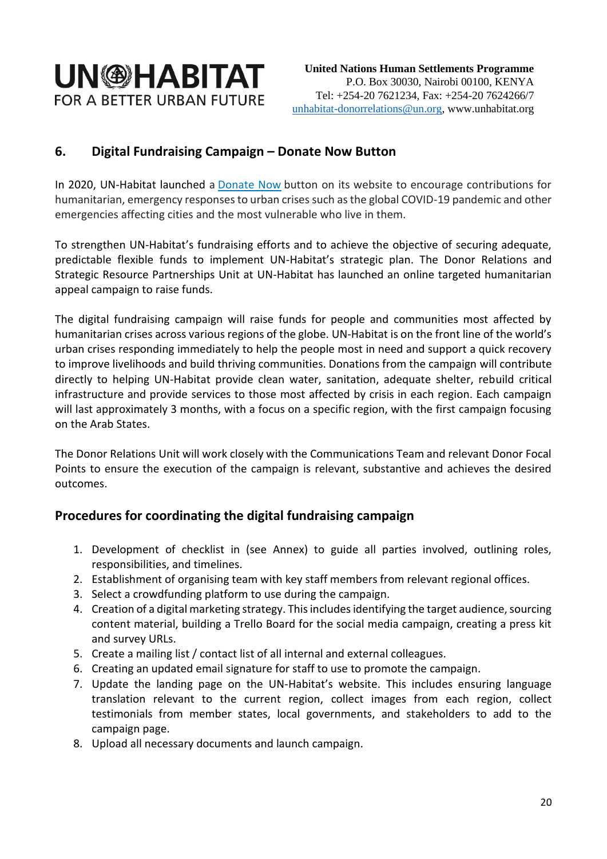### <span id="page-19-0"></span>**6. Digital Fundraising Campaign – Donate Now Button**

In 2020, UN-Habitat launched a [Donate Now](https://unhabitat.org/donate) button on its website to encourage contributions for humanitarian, emergency responses to urban crises such as the global COVID-19 pandemic and other emergencies affecting cities and the most vulnerable who live in them.

To strengthen UN-Habitat's fundraising efforts and to achieve the objective of securing adequate, predictable flexible funds to implement UN-Habitat's strategic plan. The Donor Relations and Strategic Resource Partnerships Unit at UN-Habitat has launched an online targeted humanitarian appeal campaign to raise funds.

The digital fundraising campaign will raise funds for people and communities most affected by humanitarian crises across various regions of the globe. UN-Habitat is on the front line of the world's urban crises responding immediately to help the people most in need and support a quick recovery to improve livelihoods and build thriving communities. Donations from the campaign will contribute directly to helping UN-Habitat provide clean water, sanitation, adequate shelter, rebuild critical infrastructure and provide services to those most affected by crisis in each region. Each campaign will last approximately 3 months, with a focus on a specific region, with the first campaign focusing on the Arab States.

The Donor Relations Unit will work closely with the Communications Team and relevant Donor Focal Points to ensure the execution of the campaign is relevant, substantive and achieves the desired outcomes.

#### <span id="page-19-1"></span>**Procedures for coordinating the digital fundraising campaign**

- 1. Development of checklist in (see Annex) to guide all parties involved, outlining roles, responsibilities, and timelines.
- 2. Establishment of organising team with key staff members from relevant regional offices.
- 3. Select a crowdfunding platform to use during the campaign.
- 4. Creation of a digital marketing strategy. This includes identifying the target audience, sourcing content material, building a Trello Board for the social media campaign, creating a press kit and survey URLs.
- 5. Create a mailing list / contact list of all internal and external colleagues.
- 6. Creating an updated email signature for staff to use to promote the campaign.
- 7. Update the landing page on the UN-Habitat's website. This includes ensuring language translation relevant to the current region, collect images from each region, collect testimonials from member states, local governments, and stakeholders to add to the campaign page.
- 8. Upload all necessary documents and launch campaign.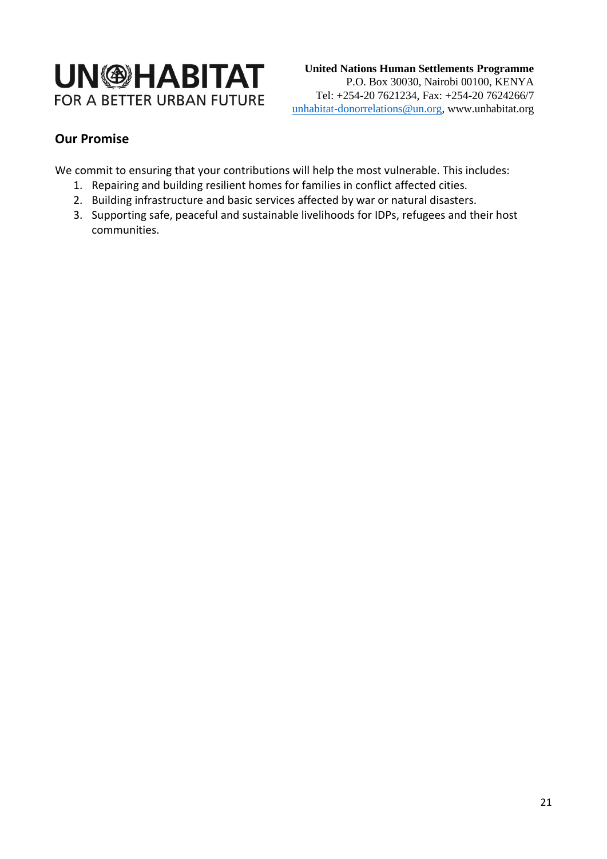

### **Our Promise**

<span id="page-20-0"></span>We commit to ensuring that your contributions will help the most vulnerable. This includes:

- 1. Repairing and building resilient homes for families in conflict affected cities.
- 2. Building infrastructure and basic services affected by war or natural disasters.
- 3. Supporting safe, peaceful and sustainable livelihoods for IDPs, refugees and their host communities.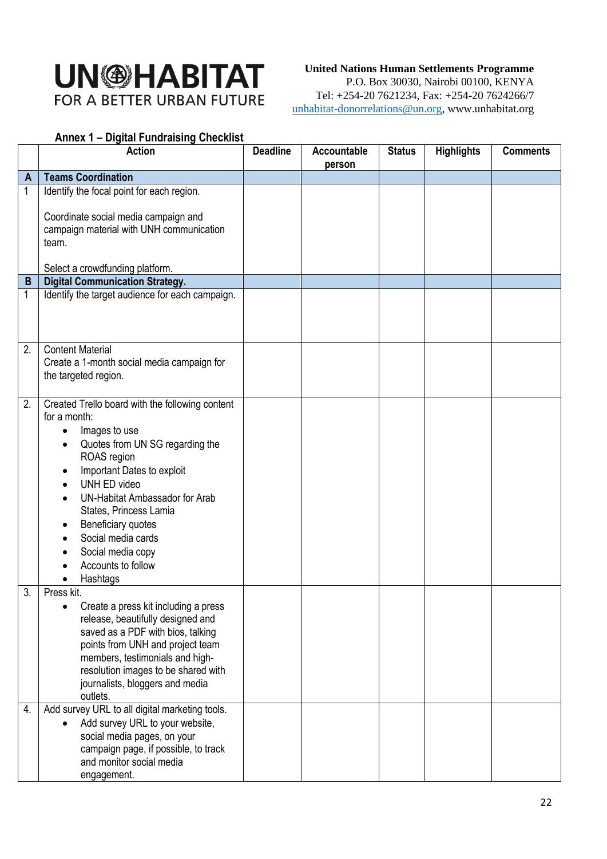#### **United Nations Human Settlements Programme**

P.O. Box 30030, Nairobi 00100, KENYA Tel: +254-20 7621234, Fax: +254-20 7624266/7 unhabitat-donorrelations@un.org, www.unhabitat.org

#### <span id="page-21-0"></span>**Annex 1 – Digital Fundraising Checklist**

|              | <b>Action</b>                                                                                                                                                                                                                                                                                                                                                | <b>Deadline</b> | Accountable<br>person | <b>Status</b> | <b>Highlights</b> | <b>Comments</b> |
|--------------|--------------------------------------------------------------------------------------------------------------------------------------------------------------------------------------------------------------------------------------------------------------------------------------------------------------------------------------------------------------|-----------------|-----------------------|---------------|-------------------|-----------------|
| $\mathsf{A}$ | <b>Teams Coordination</b>                                                                                                                                                                                                                                                                                                                                    |                 |                       |               |                   |                 |
| 1            | Identify the focal point for each region.                                                                                                                                                                                                                                                                                                                    |                 |                       |               |                   |                 |
|              | Coordinate social media campaign and<br>campaign material with UNH communication<br>team.                                                                                                                                                                                                                                                                    |                 |                       |               |                   |                 |
|              | Select a crowdfunding platform.                                                                                                                                                                                                                                                                                                                              |                 |                       |               |                   |                 |
| B            | <b>Digital Communication Strategy.</b>                                                                                                                                                                                                                                                                                                                       |                 |                       |               |                   |                 |
| 1            | Identify the target audience for each campaign.                                                                                                                                                                                                                                                                                                              |                 |                       |               |                   |                 |
| 2.           | <b>Content Material</b><br>Create a 1-month social media campaign for<br>the targeted region.                                                                                                                                                                                                                                                                |                 |                       |               |                   |                 |
| 2.           | Created Trello board with the following content<br>for a month:<br>Images to use<br>$\bullet$<br>Quotes from UN SG regarding the<br>ROAS region<br>Important Dates to exploit<br>UNH ED video<br>UN-Habitat Ambassador for Arab<br>States, Princess Lamia<br>Beneficiary quotes<br>Social media cards<br>Social media copy<br>Accounts to follow<br>Hashtags |                 |                       |               |                   |                 |
| 3.           | Press kit.<br>Create a press kit including a press<br>release, beautifully designed and<br>saved as a PDF with bios, talking<br>points from UNH and project team<br>members, testimonials and high-<br>resolution images to be shared with<br>journalists, bloggers and media<br>outlets.                                                                    |                 |                       |               |                   |                 |
| 4.           | Add survey URL to all digital marketing tools.<br>Add survey URL to your website,<br>social media pages, on your<br>campaign page, if possible, to track<br>and monitor social media<br>engagement.                                                                                                                                                          |                 |                       |               |                   |                 |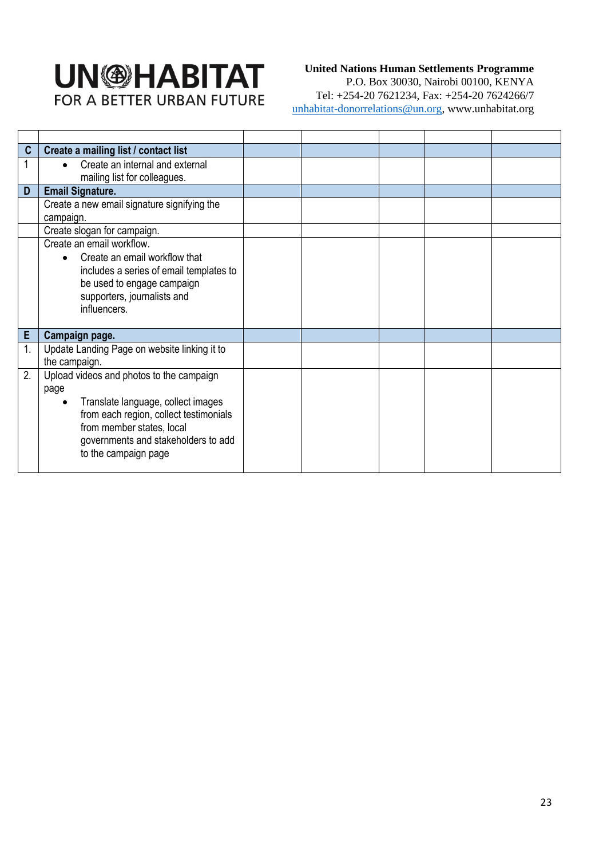#### **United Nations Human Settlements Programme**

P.O. Box 30030, Nairobi 00100, KENYA Tel: +254-20 7621234, Fax: +254-20 7624266/7 unhabitat-donorrelations@un.org, www.unhabitat.org

| C  | Create a mailing list / contact list                                                                                                                                                                                                      |  |  |  |
|----|-------------------------------------------------------------------------------------------------------------------------------------------------------------------------------------------------------------------------------------------|--|--|--|
|    | Create an internal and external<br>$\bullet$<br>mailing list for colleagues.                                                                                                                                                              |  |  |  |
| D  | <b>Email Signature.</b>                                                                                                                                                                                                                   |  |  |  |
|    | Create a new email signature signifying the<br>campaign.                                                                                                                                                                                  |  |  |  |
|    | Create slogan for campaign.                                                                                                                                                                                                               |  |  |  |
|    | Create an email workflow.<br>Create an email workflow that<br>$\bullet$<br>includes a series of email templates to<br>be used to engage campaign<br>supporters, journalists and<br>influencers.                                           |  |  |  |
| E  | Campaign page.                                                                                                                                                                                                                            |  |  |  |
| 1. | Update Landing Page on website linking it to<br>the campaign.                                                                                                                                                                             |  |  |  |
| 2. | Upload videos and photos to the campaign<br>page<br>Translate language, collect images<br>$\bullet$<br>from each region, collect testimonials<br>from member states, local<br>governments and stakeholders to add<br>to the campaign page |  |  |  |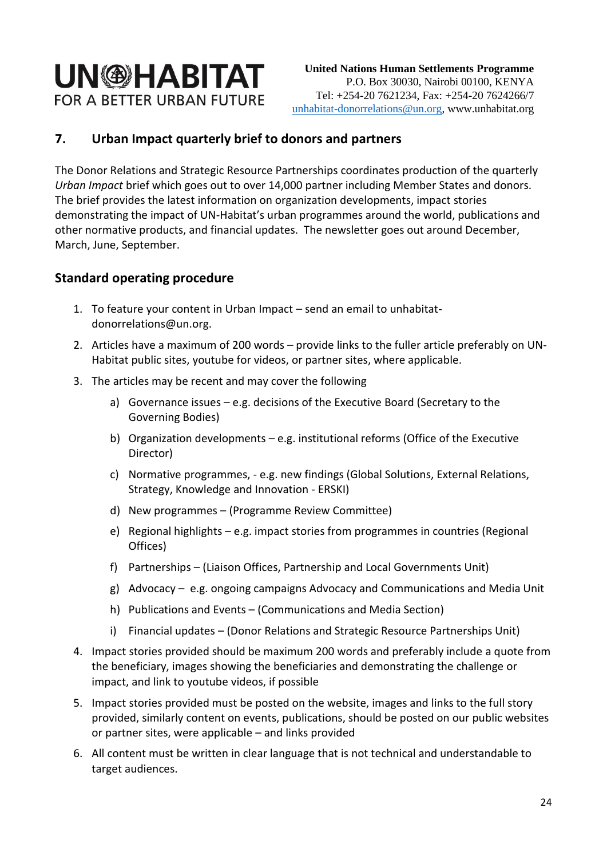## **7. Urban Impact quarterly brief to donors and partners**

<span id="page-23-0"></span>The Donor Relations and Strategic Resource Partnerships coordinates production of the quarterly *Urban Impact* brief which goes out to over 14,000 partner including Member States and donors. The brief provides the latest information on organization developments, impact stories demonstrating the impact of UN-Habitat's urban programmes around the world, publications and other normative products, and financial updates. The newsletter goes out around December, March, June, September.

#### <span id="page-23-1"></span>**Standard operating procedure**

- 1. To feature your content in Urban Impact send an email to unhabitatdonorrelations@un.org.
- 2. Articles have a maximum of 200 words provide links to the fuller article preferably on UN-Habitat public sites, youtube for videos, or partner sites, where applicable.
- 3. The articles may be recent and may cover the following
	- a) Governance issues e.g. decisions of the Executive Board (Secretary to the Governing Bodies)
	- b) Organization developments e.g. institutional reforms (Office of the Executive Director)
	- c) Normative programmes, e.g. new findings (Global Solutions, External Relations, Strategy, Knowledge and Innovation - ERSKI)
	- d) New programmes (Programme Review Committee)
	- e) Regional highlights e.g. impact stories from programmes in countries (Regional Offices)
	- f) Partnerships (Liaison Offices, Partnership and Local Governments Unit)
	- g) Advocacy e.g. ongoing campaigns Advocacy and Communications and Media Unit
	- h) Publications and Events (Communications and Media Section)
	- i) Financial updates (Donor Relations and Strategic Resource Partnerships Unit)
- 4. Impact stories provided should be maximum 200 words and preferably include a quote from the beneficiary, images showing the beneficiaries and demonstrating the challenge or impact, and link to youtube videos, if possible
- 5. Impact stories provided must be posted on the website, images and links to the full story provided, similarly content on events, publications, should be posted on our public websites or partner sites, were applicable – and links provided
- 6. All content must be written in clear language that is not technical and understandable to target audiences.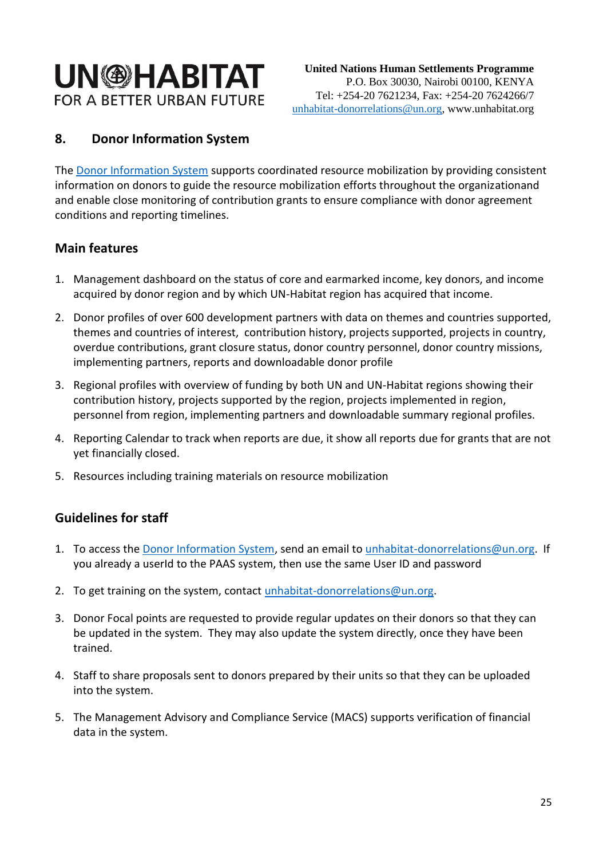# **UN<sup>®HABITAT**</sup> FOR A BETTER URBAN FUTURE

## **8. Donor Information System**

<span id="page-24-0"></span>The [Donor Information System](dis.unhabitat.org/dis/dashboard.aspx) supports coordinated resource mobilization by providing consistent information on donors to guide the resource mobilization efforts throughout the organizationand and enable close monitoring of contribution grants to ensure compliance with donor agreement conditions and reporting timelines.

### **Main features**

- <span id="page-24-1"></span>1. Management dashboard on the status of core and earmarked income, key donors, and income acquired by donor region and by which UN-Habitat region has acquired that income.
- 2. Donor profiles of over 600 development partners with data on themes and countries supported, themes and countries of interest, contribution history, projects supported, projects in country, overdue contributions, grant closure status, donor country personnel, donor country missions, implementing partners, reports and downloadable donor profile
- 3. Regional profiles with overview of funding by both UN and UN-Habitat regions showing their contribution history, projects supported by the region, projects implemented in region, personnel from region, implementing partners and downloadable summary regional profiles.
- 4. Reporting Calendar to track when reports are due, it show all reports due for grants that are not yet financially closed.
- 5. Resources including training materials on resource mobilization

### **Guidelines for staff**

- <span id="page-24-2"></span>1. To access the [Donor Information System,](dis.unhabitat.org/dis/dashboard.aspx) send an email to [unhabitat-donorrelations@un.org.](mailto:unhabitat-donorrelations@un.org) If you already a userId to the PAAS system, then use the same User ID and password
- 2. To get training on the system, contact [unhabitat-donorrelations@un.org.](mailto:unhabitat-donorrelations@un.org)
- 3. Donor Focal points are requested to provide regular updates on their donors so that they can be updated in the system. They may also update the system directly, once they have been trained.
- 4. Staff to share proposals sent to donors prepared by their units so that they can be uploaded into the system.
- 5. The Management Advisory and Compliance Service (MACS) supports verification of financial data in the system.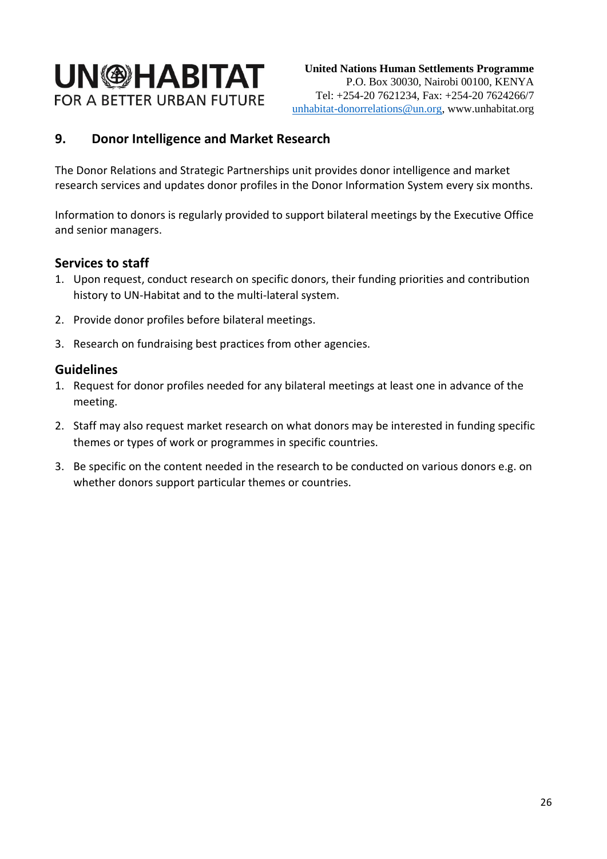### **9. Donor Intelligence and Market Research**

<span id="page-25-0"></span>The Donor Relations and Strategic Partnerships unit provides donor intelligence and market research services and updates donor profiles in the Donor Information System every six months.

Information to donors is regularly provided to support bilateral meetings by the Executive Office and senior managers.

#### **Services to staff**

- <span id="page-25-1"></span>1. Upon request, conduct research on specific donors, their funding priorities and contribution history to UN-Habitat and to the multi-lateral system.
- 2. Provide donor profiles before bilateral meetings.
- 3. Research on fundraising best practices from other agencies.

#### **Guidelines**

- <span id="page-25-2"></span>1. Request for donor profiles needed for any bilateral meetings at least one in advance of the meeting.
- 2. Staff may also request market research on what donors may be interested in funding specific themes or types of work or programmes in specific countries.
- 3. Be specific on the content needed in the research to be conducted on various donors e.g. on whether donors support particular themes or countries.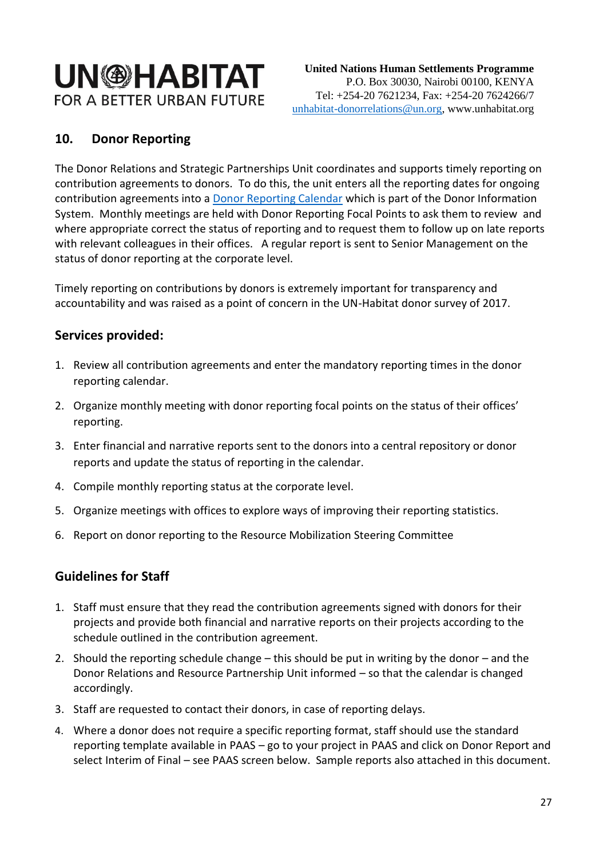## **UN<sup>®HABITAT**</sup> FOR A BETTER URBAN FUTURE

## **10. Donor Reporting**

<span id="page-26-0"></span>The Donor Relations and Strategic Partnerships Unit coordinates and supports timely reporting on contribution agreements to donors. To do this, the unit enters all the reporting dates for ongoing contribution agreements into a **Donor Reporting Calendar** which is part of the Donor Information System. Monthly meetings are held with Donor Reporting Focal Points to ask them to review and where appropriate correct the status of reporting and to request them to follow up on late reports with relevant colleagues in their offices. A regular report is sent to Senior Management on the status of donor reporting at the corporate level.

Timely reporting on contributions by donors is extremely important for transparency and accountability and was raised as a point of concern in the UN-Habitat donor survey of 2017.

### **Services provided:**

- <span id="page-26-1"></span>1. Review all contribution agreements and enter the mandatory reporting times in the donor reporting calendar.
- 2. Organize monthly meeting with donor reporting focal points on the status of their offices' reporting.
- 3. Enter financial and narrative reports sent to the donors into a central repository or donor reports and update the status of reporting in the calendar.
- 4. Compile monthly reporting status at the corporate level.
- 5. Organize meetings with offices to explore ways of improving their reporting statistics.
- 6. Report on donor reporting to the Resource Mobilization Steering Committee

## **Guidelines for Staff**

- <span id="page-26-2"></span>1. Staff must ensure that they read the contribution agreements signed with donors for their projects and provide both financial and narrative reports on their projects according to the schedule outlined in the contribution agreement.
- 2. Should the reporting schedule change this should be put in writing by the donor and the Donor Relations and Resource Partnership Unit informed – so that the calendar is changed accordingly.
- 3. Staff are requested to contact their donors, in case of reporting delays.
- 4. Where a donor does not require a specific reporting format, staff should use the standard reporting template available in PAAS – go to your project in PAAS and click on Donor Report and select Interim of Final – see PAAS screen below. Sample reports also attached in this document.